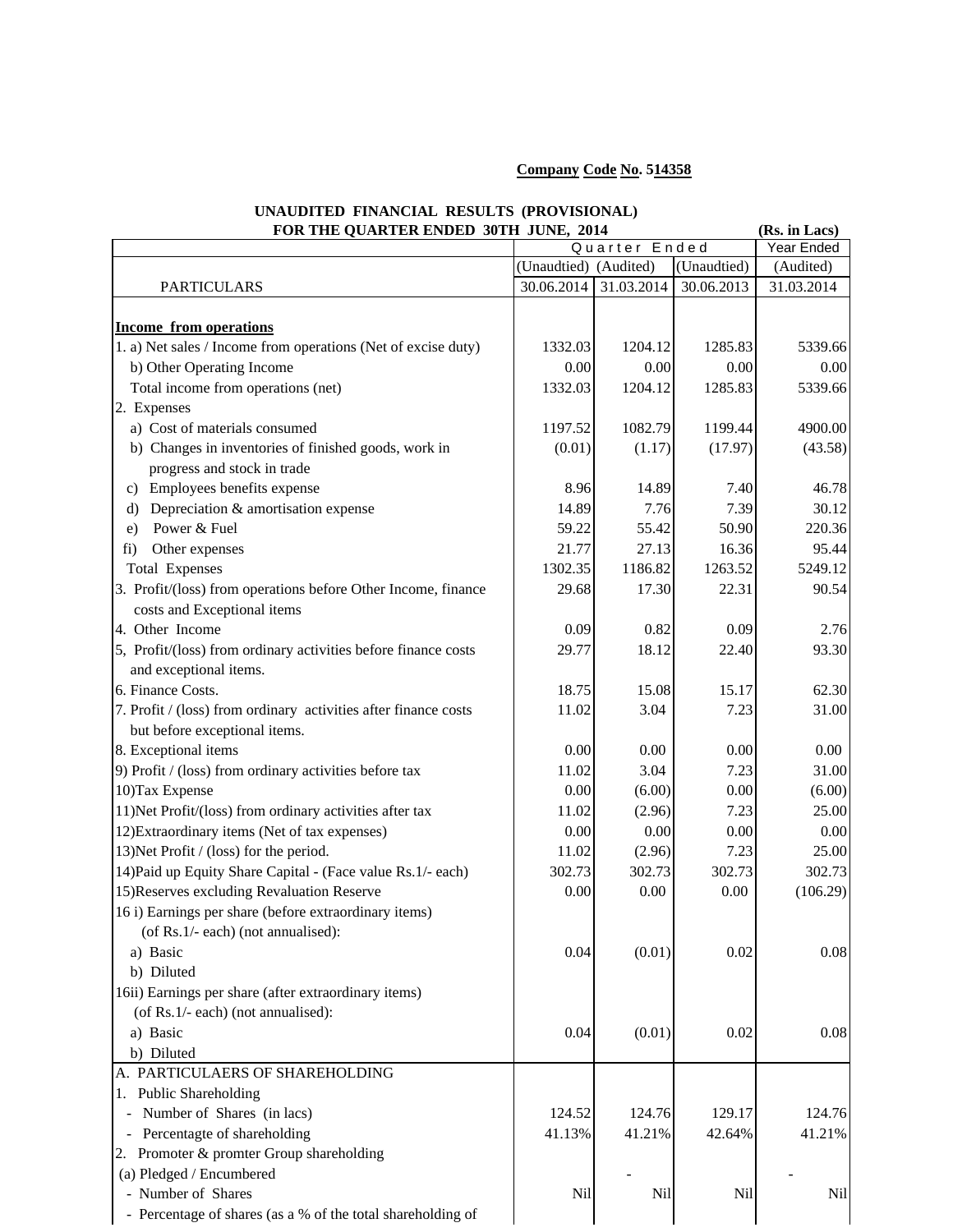## **Company Code No. 514358**

## **UNAUDITED FINANCIAL RESULTS (PROVISIONAL) FOR THE QUARTER ENDED 30TH JUNE 2014** (Rs. in Lacs)

| FOR THE QUARTER ENDED 30TH JUNE, 2014                           |                       |            |             | (KS. In Lacs) |
|-----------------------------------------------------------------|-----------------------|------------|-------------|---------------|
|                                                                 | Quarter Ended         |            |             | Year Ended    |
|                                                                 | (Unaudtied) (Audited) |            | (Unaudtied) | (Audited)     |
| <b>PARTICULARS</b>                                              | 30.06.2014            | 31.03.2014 | 30.06.2013  | 31.03.2014    |
|                                                                 |                       |            |             |               |
| <b>Income from operations</b>                                   |                       |            |             |               |
| 1. a) Net sales / Income from operations (Net of excise duty)   | 1332.03               | 1204.12    | 1285.83     | 5339.66       |
| b) Other Operating Income                                       | 0.00                  | 0.00       | 0.00        | 0.00          |
| Total income from operations (net)                              | 1332.03               | 1204.12    | 1285.83     | 5339.66       |
| 2. Expenses                                                     |                       |            |             |               |
| a) Cost of materials consumed                                   | 1197.52               | 1082.79    | 1199.44     | 4900.00       |
| b) Changes in inventories of finished goods, work in            | (0.01)                | (1.17)     | (17.97)     | (43.58)       |
| progress and stock in trade                                     |                       |            |             |               |
| c) Employees benefits expense                                   | 8.96                  | 14.89      | 7.40        | 46.78         |
| Depreciation & amortisation expense<br>$\rm d$                  | 14.89                 | 7.76       | 7.39        | 30.12         |
| Power & Fuel<br>e)                                              | 59.22                 | 55.42      | 50.90       | 220.36        |
| Other expenses<br>fi)                                           | 21.77                 | 27.13      | 16.36       | 95.44         |
| <b>Total Expenses</b>                                           | 1302.35               | 1186.82    | 1263.52     | 5249.12       |
| 3. Profit/(loss) from operations before Other Income, finance   | 29.68                 | 17.30      | 22.31       | 90.54         |
| costs and Exceptional items                                     |                       |            |             |               |
| 4. Other Income                                                 | 0.09                  | 0.82       | 0.09        | 2.76          |
| 5, Profit/(loss) from ordinary activities before finance costs  | 29.77                 | 18.12      | 22.40       | 93.30         |
| and exceptional items.                                          |                       |            |             |               |
| 6. Finance Costs.                                               |                       |            | 15.17       |               |
|                                                                 | 18.75                 | 15.08      |             | 62.30         |
| 7. Profit / (loss) from ordinary activities after finance costs | 11.02                 | 3.04       | 7.23        | 31.00         |
| but before exceptional items.                                   |                       |            |             |               |
| 8. Exceptional items                                            | 0.00                  | 0.00       | 0.00        | 0.00          |
| 9) Profit / (loss) from ordinary activities before tax          | 11.02                 | 3.04       | 7.23        | 31.00         |
| 10) Tax Expense                                                 | 0.00                  | (6.00)     | 0.00        | (6.00)        |
| 11) Net Profit/(loss) from ordinary activities after tax        | 11.02                 | (2.96)     | 7.23        | 25.00         |
| 12) Extraordinary items (Net of tax expenses)                   | 0.00                  | 0.00       | 0.00        | 0.00          |
| 13) Net Profit / (loss) for the period.                         | 11.02                 | (2.96)     | 7.23        | 25.00         |
| 14) Paid up Equity Share Capital - (Face value Rs. 1/- each)    | 302.73                | 302.73     | 302.73      | 302.73        |
| 15) Reserves excluding Revaluation Reserve                      | 0.00                  | 0.00       | 0.00        | (106.29)      |
| 16 i) Earnings per share (before extraordinary items)           |                       |            |             |               |
| (of Rs.1/- each) (not annualised):                              |                       |            |             |               |
| a) Basic                                                        | 0.04                  | (0.01)     | 0.02        | 0.08          |
| b) Diluted                                                      |                       |            |             |               |
| 16ii) Earnings per share (after extraordinary items)            |                       |            |             |               |
| (of Rs.1/- each) (not annualised):                              |                       |            |             |               |
| a) Basic                                                        | 0.04                  | (0.01)     | 0.02        | 0.08          |
| b) Diluted                                                      |                       |            |             |               |
| A. PARTICULAERS OF SHAREHOLDING                                 |                       |            |             |               |
| 1. Public Shareholding                                          |                       |            |             |               |
| Number of Shares (in lacs)<br>$\blacksquare$                    | 124.52                | 124.76     | 129.17      | 124.76        |
| Percentagte of shareholding                                     | 41.13%                | 41.21%     | 42.64%      | 41.21%        |
| 2. Promoter & promter Group shareholding                        |                       |            |             |               |
| (a) Pledged / Encumbered                                        |                       |            |             |               |
| - Number of Shares                                              | Nil                   | Nil        | Nil         | Nil           |
| - Percentage of shares (as a % of the total shareholding of     |                       |            |             |               |
|                                                                 |                       |            |             |               |